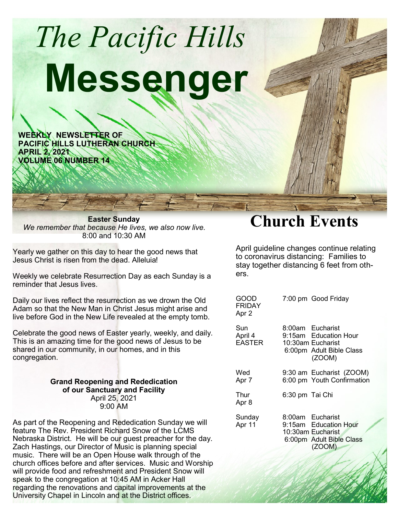# **Messenger** *The Pacific Hills*

**WEEKLY NEWSLETTER OF PACIFIC HILLS LUTHERAN CHURCH APRIL 2, 2021 VOLUME 06 NUMBER 14**

**Easter Sunday** *We remember that because He lives, we also now live.* 8:00 and 10:30 AM

Yearly we gather on this day to hear the good news that Jesus Christ is risen from the dead. Alleluia!

Weekly we celebrate Resurrection Day as each Sunday is a reminder that Jesus lives.

Daily our lives reflect the resurrection as we drown the Old Adam so that the New Man in Christ Jesus might arise and live before God in the New Life revealed at the empty tomb.

Celebrate the good news of Easter yearly, weekly, and daily. This is an amazing time for the good news of Jesus to be shared in our community, in our homes, and in this congregation.

| <b>Grand Reopening and Rededication</b> |  |  |  |
|-----------------------------------------|--|--|--|
| of our Sanctuary and Facility           |  |  |  |
| April 25, 2021                          |  |  |  |
| 9:00 AM                                 |  |  |  |

As part of the Reopening and Rededication Sunday we will feature The Rev. President Richard Snow of the LCMS Nebraska District. He will be our guest preacher for the day. Zach Hastings, our Director of Music is planning special music. There will be an Open House walk through of the church offices before and after services. Music and Worship will provide food and refreshment and President Snow will speak to the congregation at 10:45 AM in Acker Hall regarding the renovations and capital improvements at the University Chapel in Lincoln and at the District offices.

# **Church Events**

April guideline changes continue relating to coronavirus distancing: Families to stay together distancing 6 feet from others.

| GOOD<br><b>FRIDAY</b><br>Apr 2  |                 | 7:00 pm Good Friday                                                                                  |
|---------------------------------|-----------------|------------------------------------------------------------------------------------------------------|
| Sun<br>April 4<br><b>EASTER</b> |                 | 8:00am Eucharist<br>9:15am Education Hour<br>10:30am Eucharist<br>6:00pm Adult Bible Class<br>(ZOOM) |
| Wed<br>Apr 7                    |                 | 9:30 am Eucharist (ZOOM)<br>6:00 pm Youth Confirmation                                               |
| Thur<br>Apr 8                   | 6:30 pm Tai Chi |                                                                                                      |
| Sunday<br>Apr 11                |                 | 8:00am Eucharist<br>9:15am Education Hour<br>10:30am Eucharist<br>6:00pm Adult Bible Class<br>(ZOOM) |
|                                 |                 |                                                                                                      |